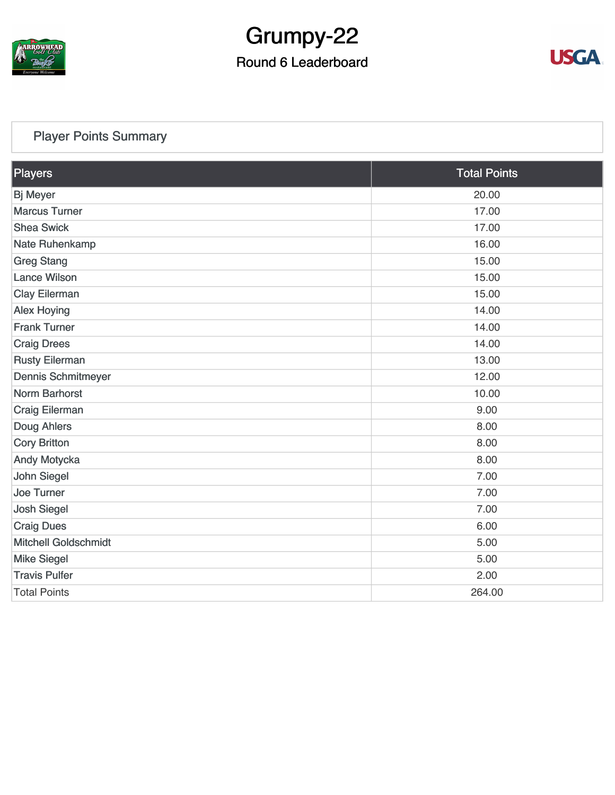

# Grumpy-22

#### Round 6 Leaderboard



#### [Player Points Summary](https://static.golfgenius.com/v2tournaments/total_points?league_id=8123139340541895924&round_id=8123140168933713269)

| Players                     | <b>Total Points</b> |
|-----------------------------|---------------------|
| <b>Bj Meyer</b>             | 20.00               |
| <b>Marcus Turner</b>        | 17.00               |
| <b>Shea Swick</b>           | 17.00               |
| Nate Ruhenkamp              | 16.00               |
| <b>Greg Stang</b>           | 15.00               |
| <b>Lance Wilson</b>         | 15.00               |
| <b>Clay Eilerman</b>        | 15.00               |
| <b>Alex Hoying</b>          | 14.00               |
| <b>Frank Turner</b>         | 14.00               |
| <b>Craig Drees</b>          | 14.00               |
| <b>Rusty Eilerman</b>       | 13.00               |
| <b>Dennis Schmitmeyer</b>   | 12.00               |
| <b>Norm Barhorst</b>        | 10.00               |
| <b>Craig Eilerman</b>       | 9.00                |
| Doug Ahlers                 | 8.00                |
| <b>Cory Britton</b>         | 8.00                |
| <b>Andy Motycka</b>         | 8.00                |
| <b>John Siegel</b>          | 7.00                |
| <b>Joe Turner</b>           | 7.00                |
| <b>Josh Siegel</b>          | 7.00                |
| <b>Craig Dues</b>           | 6.00                |
| <b>Mitchell Goldschmidt</b> | 5.00                |
| <b>Mike Siegel</b>          | 5.00                |
| <b>Travis Pulfer</b>        | 2.00                |
| <b>Total Points</b>         | 264.00              |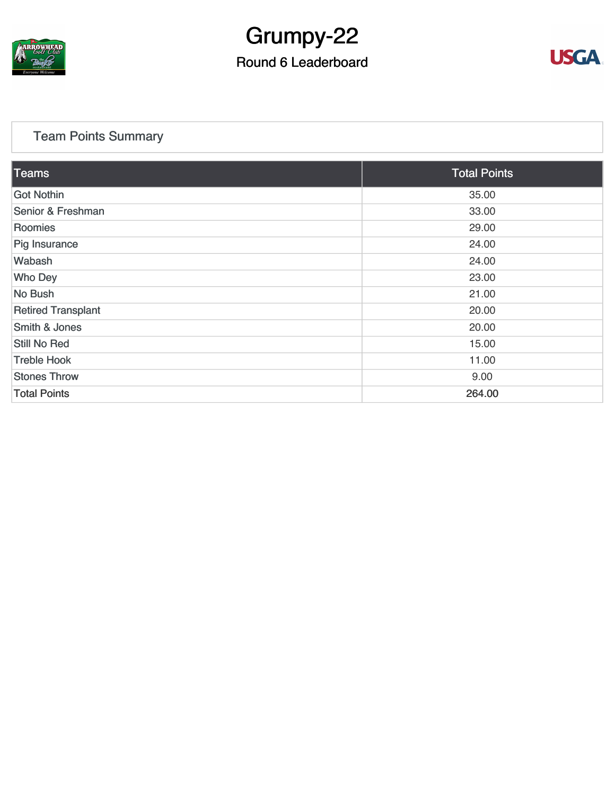

# Grumpy-22

#### Round 6 Leaderboard



#### [Team Points Summary](https://static.golfgenius.com/v2tournaments/team_points?league_id=8123139340541895924&round_id=8123140168933713269)

| <b>Teams</b>              | <b>Total Points</b> |  |  |  |
|---------------------------|---------------------|--|--|--|
| Got Nothin                | 35.00               |  |  |  |
| Senior & Freshman         | 33.00               |  |  |  |
| Roomies                   | 29.00               |  |  |  |
| Pig Insurance             | 24.00               |  |  |  |
| Wabash                    | 24.00               |  |  |  |
| <b>Who Dey</b>            | 23.00               |  |  |  |
| No Bush                   | 21.00               |  |  |  |
| <b>Retired Transplant</b> | 20.00               |  |  |  |
| Smith & Jones             | 20.00               |  |  |  |
| <b>Still No Red</b>       | 15.00               |  |  |  |
| <b>Treble Hook</b>        | 11.00               |  |  |  |
| <b>Stones Throw</b>       | 9.00                |  |  |  |
| <b>Total Points</b>       | 264.00              |  |  |  |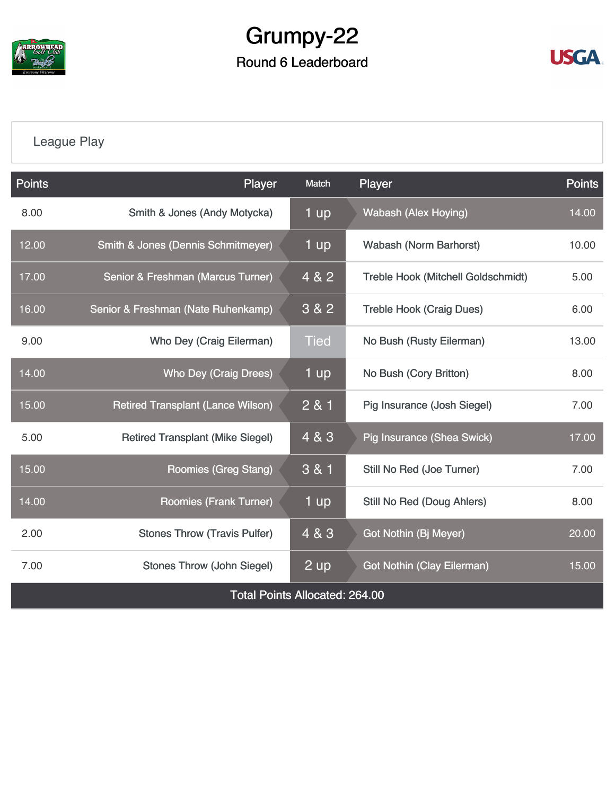

## Grumpy-22 Round 6 Leaderboard



### [League Play](https://static.golfgenius.com/v2tournaments/8123149254165275814?called_from=&round_index=6)

| <b>Points</b>                         | Player                                        | Match       | Player                                    | <b>Points</b> |  |  |  |
|---------------------------------------|-----------------------------------------------|-------------|-------------------------------------------|---------------|--|--|--|
| 8.00                                  | Smith & Jones (Andy Motycka)                  | 1 up        | <b>Wabash (Alex Hoying)</b>               | 14.00         |  |  |  |
| 12.00                                 | <b>Smith &amp; Jones (Dennis Schmitmeyer)</b> | 1 up        | <b>Wabash (Norm Barhorst)</b>             | 10.00         |  |  |  |
| 17.00                                 | Senior & Freshman (Marcus Turner)             | 4 & 2       | <b>Treble Hook (Mitchell Goldschmidt)</b> | 5.00          |  |  |  |
| 16.00                                 | Senior & Freshman (Nate Ruhenkamp)            | 3 & 2       | <b>Treble Hook (Craig Dues)</b>           | 6.00          |  |  |  |
| 9.00                                  | Who Dey (Craig Eilerman)                      | <b>Tied</b> | No Bush (Rusty Eilerman)                  | 13.00         |  |  |  |
| 14.00                                 | <b>Who Dey (Craig Drees)</b>                  | 1 up        | No Bush (Cory Britton)                    | 8.00          |  |  |  |
| 15.00                                 | <b>Retired Transplant (Lance Wilson)</b>      | 2 & 1       | Pig Insurance (Josh Siegel)               | 7.00          |  |  |  |
| 5.00                                  | <b>Retired Transplant (Mike Siegel)</b>       | 4 & 3       | Pig Insurance (Shea Swick)                | 17.00         |  |  |  |
| 15.00                                 | <b>Roomies (Greg Stang)</b>                   | 3 & 1       | Still No Red (Joe Turner)                 | 7.00          |  |  |  |
| 14.00                                 | <b>Roomies (Frank Turner)</b>                 | 1 up        | <b>Still No Red (Doug Ahlers)</b>         | 8.00          |  |  |  |
| 2.00                                  | <b>Stones Throw (Travis Pulfer)</b>           | 4 & 3       | Got Nothin (Bj Meyer)                     | 20.00         |  |  |  |
| 7.00                                  | <b>Stones Throw (John Siegel)</b>             | 2 up        | <b>Got Nothin (Clay Eilerman)</b>         | 15.00         |  |  |  |
| <b>Total Points Allocated: 264.00</b> |                                               |             |                                           |               |  |  |  |